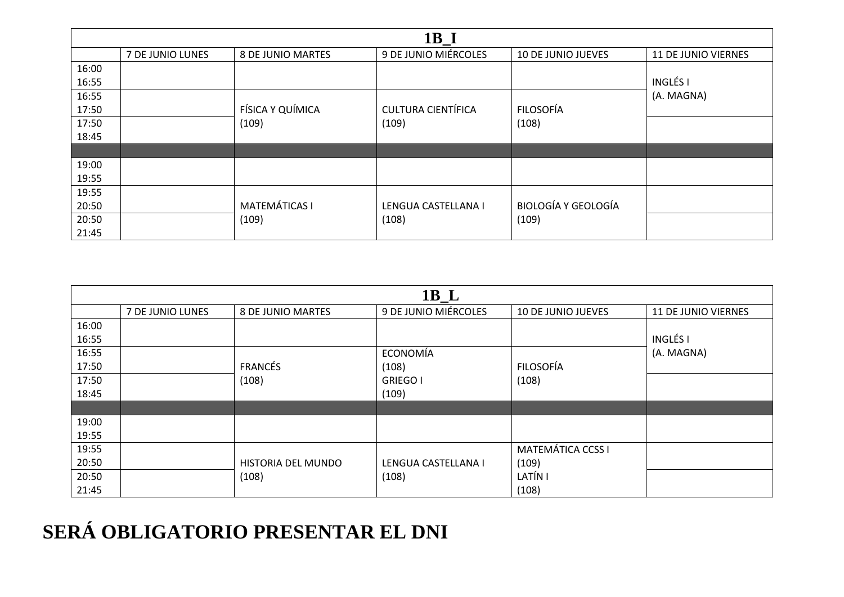## **SERÁ OBLIGATORIO PRESENTAR EL DNI**

| $1B_L$ |                  |                             |                              |                           |                     |
|--------|------------------|-----------------------------|------------------------------|---------------------------|---------------------|
|        | 7 DE JUNIO LUNES | 8 DE JUNIO MARTES           | 9 DE JUNIO MIÉRCOLES         | <b>10 DE JUNIO JUEVES</b> | 11 DE JUNIO VIERNES |
| 16:00  |                  |                             |                              |                           |                     |
| 16:55  |                  |                             |                              |                           | <b>INGLÉSI</b>      |
| 16:55  |                  |                             | ECONOMÍA                     |                           | (A. MAGNA)          |
| 17:50  |                  | <b>FRANCÉS</b>              | (108)                        | FILOSOFÍA                 |                     |
| 17:50  |                  | (108)                       | <b>GRIEGO I</b>              | (108)                     |                     |
| 18:45  |                  |                             | (109)                        |                           |                     |
|        |                  |                             |                              |                           |                     |
| 19:00  |                  |                             |                              |                           |                     |
| 19:55  |                  |                             |                              |                           |                     |
| 19:55  |                  |                             |                              | <b>MATEMÁTICA CCSS I</b>  |                     |
| 20:50  |                  | HISTORIA DEL MUNDO<br>(108) | LENGUA CASTELLANA I<br>(108) | (109)                     |                     |
| 20:50  |                  |                             |                              | LATÍN I                   |                     |
| 21:45  |                  |                             |                              | (108)                     |                     |

| $1B_I$ |                  |                      |                           |                            |                     |
|--------|------------------|----------------------|---------------------------|----------------------------|---------------------|
|        | 7 DE JUNIO LUNES | 8 DE JUNIO MARTES    | 9 DE JUNIO MIÉRCOLES      | <b>10 DE JUNIO JUEVES</b>  | 11 DE JUNIO VIERNES |
| 16:00  |                  |                      |                           |                            |                     |
| 16:55  |                  |                      |                           |                            | <b>INGLÉS I</b>     |
| 16:55  |                  |                      |                           |                            | (A. MAGNA)          |
| 17:50  |                  | FÍSICA Y QUÍMICA     | <b>CULTURA CIENTÍFICA</b> | <b>FILOSOFÍA</b>           |                     |
| 17:50  |                  | (109)                | (109)                     | (108)                      |                     |
| 18:45  |                  |                      |                           |                            |                     |
|        |                  |                      |                           |                            |                     |
| 19:00  |                  |                      |                           |                            |                     |
| 19:55  |                  |                      |                           |                            |                     |
| 19:55  |                  |                      |                           |                            |                     |
| 20:50  |                  | <b>MATEMÁTICAS I</b> | LENGUA CASTELLANA I       | <b>BIOLOGÍA Y GEOLOGÍA</b> |                     |
| 20:50  |                  | (109)                | (108)                     | (109)                      |                     |
| 21:45  |                  |                      |                           |                            |                     |
|        |                  |                      |                           |                            |                     |

| SERA OBLIGATORIO PRESENTAR EL DNI |
|-----------------------------------|
|-----------------------------------|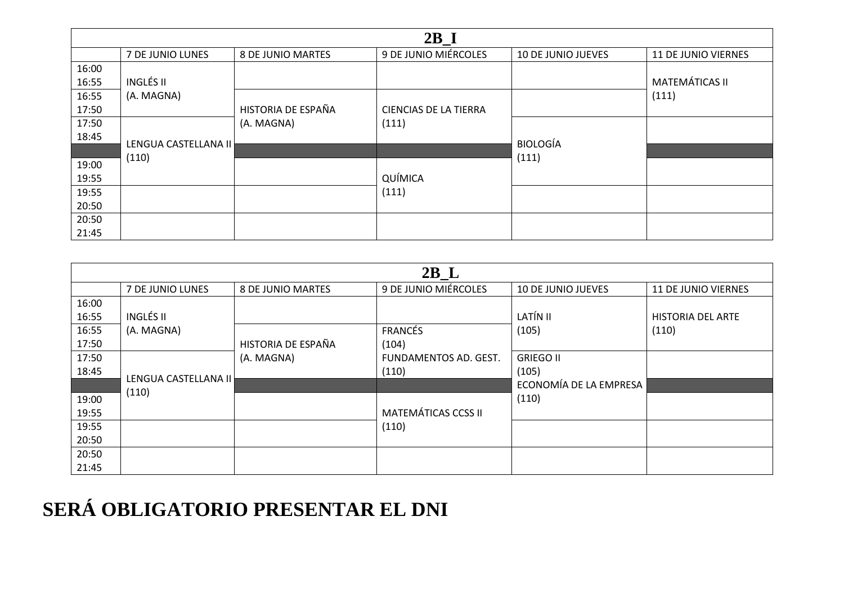| $2B_I$ |                               |                    |                       |                           |                       |
|--------|-------------------------------|--------------------|-----------------------|---------------------------|-----------------------|
|        | 7 DE JUNIO LUNES              | 8 DE JUNIO MARTES  | 9 DE JUNIO MIÉRCOLES  | <b>10 DE JUNIO JUEVES</b> | 11 DE JUNIO VIERNES   |
| 16:00  |                               |                    |                       |                           |                       |
| 16:55  | INGLÉS II                     |                    |                       |                           | <b>MATEMÁTICAS II</b> |
| 16:55  | (A. MAGNA)                    |                    |                       |                           | (111)                 |
| 17:50  |                               | HISTORIA DE ESPAÑA | CIENCIAS DE LA TIERRA |                           |                       |
| 17:50  |                               | (A. MAGNA)         | (111)                 |                           |                       |
| 18:45  |                               |                    |                       | <b>BIOLOGÍA</b>           |                       |
|        | LENGUA CASTELLANA II<br>(110) |                    |                       |                           |                       |
| 19:00  |                               |                    |                       | (111)                     |                       |
| 19:55  |                               |                    | QUÍMICA               |                           |                       |
| 19:55  |                               |                    | (111)                 |                           |                       |
| 20:50  |                               |                    |                       |                           |                       |
| 20:50  |                               |                    |                       |                           |                       |
| 21:45  |                               |                    |                       |                           |                       |

| $2B_L$ |                      |                    |                            |                        |                            |
|--------|----------------------|--------------------|----------------------------|------------------------|----------------------------|
|        | 7 DE JUNIO LUNES     | 8 DE JUNIO MARTES  | 9 DE JUNIO MIÉRCOLES       | 10 DE JUNIO JUEVES     | <b>11 DE JUNIO VIERNES</b> |
| 16:00  |                      |                    |                            |                        |                            |
| 16:55  | <b>INGLÉS II</b>     |                    |                            | LATÍN II               | <b>HISTORIA DEL ARTE</b>   |
| 16:55  | (A. MAGNA)           |                    | <b>FRANCÉS</b>             | (105)                  | (110)                      |
| 17:50  |                      | HISTORIA DE ESPAÑA | (104)                      |                        |                            |
| 17:50  |                      | (A. MAGNA)         | FUNDAMENTOS AD. GEST.      | <b>GRIEGO II</b>       |                            |
| 18:45  |                      |                    | (110)                      | (105)                  |                            |
|        | LENGUA CASTELLANA II |                    |                            | ECONOMÍA DE LA EMPRESA |                            |
| 19:00  | (110)                |                    |                            | (110)                  |                            |
| 19:55  |                      |                    | <b>MATEMÁTICAS CCSS II</b> |                        |                            |
| 19:55  |                      |                    | (110)                      |                        |                            |
| 20:50  |                      |                    |                            |                        |                            |
| 20:50  |                      |                    |                            |                        |                            |
| 21:45  |                      |                    |                            |                        |                            |

## **SERÁ OBLIGATORIO PRESENTAR EL DNI**